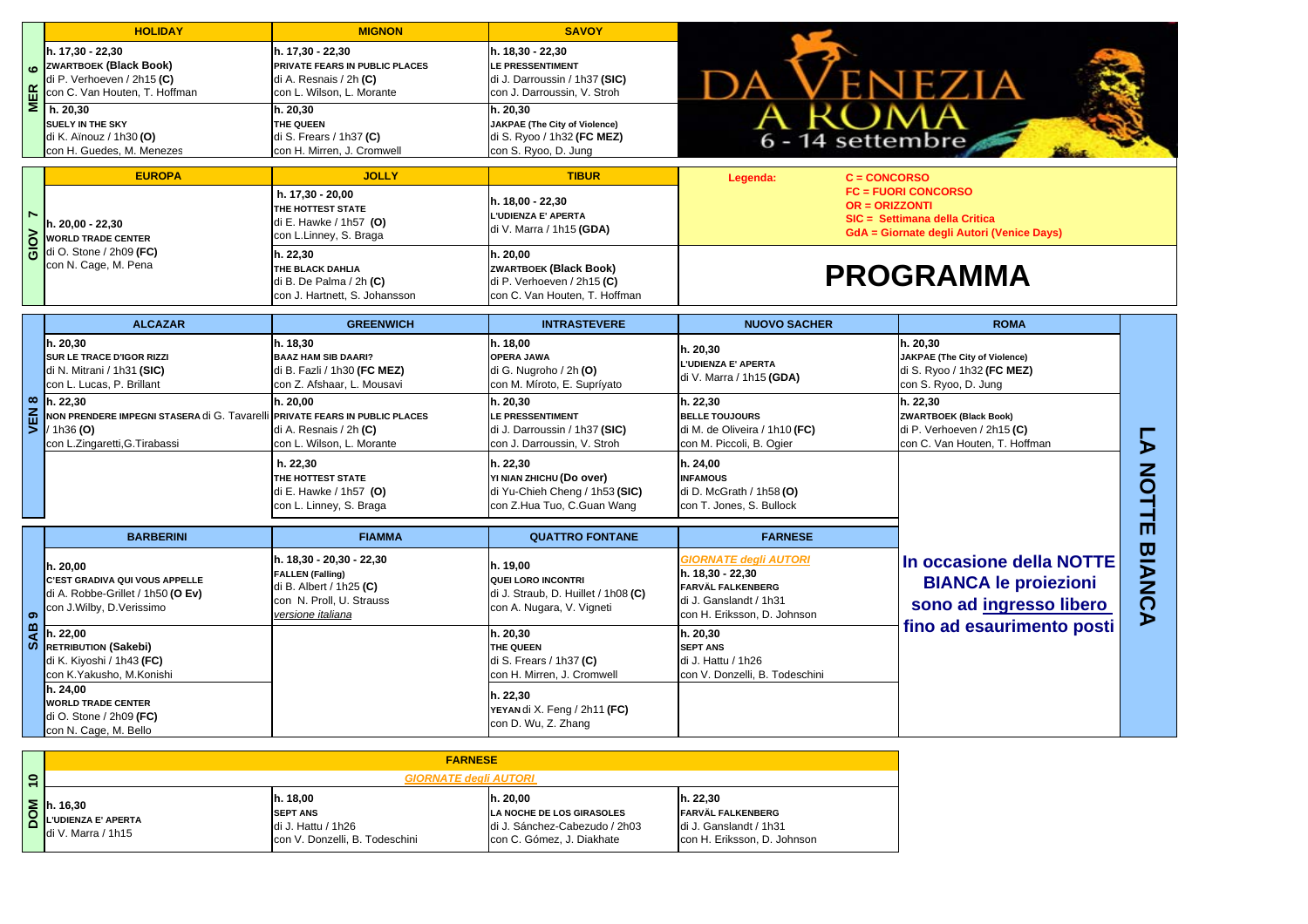|                  | <b>HOLIDAY</b>                                                              | <b>MIGNON</b>                                         | <b>SAVOY</b>                                                     |                                                  |                                           |               |
|------------------|-----------------------------------------------------------------------------|-------------------------------------------------------|------------------------------------------------------------------|--------------------------------------------------|-------------------------------------------|---------------|
|                  | h. 17,30 - 22,30<br><b>ZWARTBOEK (Black Book)</b>                           | h. 17,30 - 22,30<br>PRIVATE FEARS IN PUBLIC PLACES    | h. 18,30 - 22,30<br><b>LE PRESSENTIMENT</b>                      |                                                  |                                           |               |
| MER <sub>6</sub> | di P. Verhoeven / 2h15 (C)<br>con C. Van Houten, T. Hoffman                 | di A. Resnais / 2h (C)<br>con L. Wilson, L. Morante   | di J. Darroussin / 1h37 (SIC)<br>con J. Darroussin, V. Stroh     |                                                  | enezia                                    |               |
|                  | h. 20, 30                                                                   | h. 20, 30                                             | h. 20, 30                                                        |                                                  |                                           |               |
|                  | SUELY IN THE SKY                                                            | THE QUEEN                                             | <b>JAKPAE</b> (The City of Violence)                             |                                                  |                                           |               |
|                  | di K. Aïnouz / 1h30 (O)<br>con H. Guedes, M. Menezes                        | di S. Frears / 1h37 (C)<br>con H. Mirren, J. Cromwell | di S. Ryoo / 1h32 (FC MEZ)<br>con S. Ryoo, D. Jung               | A ROMA<br>6 - 14 settembre                       |                                           |               |
|                  |                                                                             |                                                       |                                                                  |                                                  |                                           |               |
|                  | <b>EUROPA</b>                                                               | <b>JOLLY</b>                                          | <b>TIBUR</b>                                                     | $C = CONCORSO$<br>Legenda:                       | <b>FC = FUORI CONCORSO</b>                |               |
|                  |                                                                             | h. 17,30 - 20,00<br>THE HOTTEST STATE                 | h. 18,00 - 22,30                                                 | <b>OR = ORIZZONTI</b>                            |                                           |               |
|                  | h. 20,00 - 22,30                                                            | di E. Hawke / 1h57 (O)                                | L'UDIENZA E' APERTA<br>di V. Marra / 1h15 (GDA)                  |                                                  | SIC = Settimana della Critica             |               |
| <b>E</b> AOID    | <b>WORLD TRADE CENTER</b>                                                   | con L.Linney, S. Braga                                |                                                                  |                                                  | GdA = Giornate degli Autori (Venice Days) |               |
|                  | di O. Stone / 2h09 (FC)<br>con N. Cage, M. Pena                             | h. 22,30                                              | h. 20,00                                                         |                                                  |                                           |               |
|                  |                                                                             | THE BLACK DAHLIA<br>di B. De Palma / 2h (C)           | <b>ZWARTBOEK (Black Book)</b><br>di P. Verhoeven / 2h15 (C)      |                                                  | <b>PROGRAMMA</b>                          |               |
|                  |                                                                             | con J. Hartnett, S. Johansson                         | con C. Van Houten, T. Hoffman                                    |                                                  |                                           |               |
|                  | <b>ALCAZAR</b>                                                              | <b>GREENWICH</b>                                      | <b>INTRASTEVERE</b>                                              | <b>NUOVO SACHER</b>                              | <b>ROMA</b>                               |               |
|                  | h. 20,30                                                                    | h. 18,30                                              | h. 18,00                                                         |                                                  | h. 20,30                                  |               |
|                  | SUR LE TRACE D'IGOR RIZZI                                                   | <b>BAAZ HAM SIB DAARI?</b>                            | <b>OPERA JAWA</b>                                                | h. 20,30<br>L'UDIENZA E' APERTA                  | <b>JAKPAE</b> (The City of Violence)      |               |
|                  | di N. Mitrani / 1h31 (SIC)                                                  | di B. Fazli / 1h30 (FC MEZ)                           | di G. Nugroho / 2h (O)                                           | di V. Marra / 1h15 (GDA)                         | di S. Ryoo / 1h32 (FC MEZ)                |               |
|                  | con L. Lucas, P. Brillant<br>h. 22.30                                       | con Z. Afshaar, L. Mousavi<br>h. 20.00                | con M. Míroto, E. Supríyato<br>h. 20.30                          | h. 22.30                                         | con S. Ryoo, D. Jung                      |               |
| VEN <sub>8</sub> | NON PRENDERE IMPEGNI STASERA di G. Tavarelli PRIVATE FEARS IN PUBLIC PLACES |                                                       | LE PRESSENTIMENT                                                 | <b>BELLE TOUJOURS</b>                            | h. 22,30<br><b>ZWARTBOEK (Black Book)</b> |               |
|                  | / 1h36 (O)                                                                  | di A. Resnais / 2h (C)                                | di J. Darroussin / 1h37 (SIC)                                    | di M. de Oliveira / 1h10 (FC)                    | di P. Verhoeven / 2h15 (C)                |               |
|                  | con L.Zingaretti, G.Tirabassi                                               | con L. Wilson, L. Morante                             | con J. Darroussin, V. Stroh                                      | con M. Piccoli, B. Ogier                         | con C. Van Houten, T. Hoffman             |               |
|                  |                                                                             | h. 22,30                                              | h. 22,30                                                         | h. 24,00                                         |                                           |               |
|                  |                                                                             | THE HOTTEST STATE<br>di E. Hawke / 1h57 (O)           | YI NIAN ZHICHU (Do over)<br>di Yu-Chieh Cheng / 1h53 (SIC)       | <b>INFAMOUS</b><br>di D. McGrath / 1h58 (O)      |                                           |               |
|                  |                                                                             | con L. Linney, S. Braga                               | con Z.Hua Tuo, C.Guan Wang                                       | con T. Jones, S. Bullock                         |                                           | <b>NOTTI</b>  |
|                  |                                                                             |                                                       |                                                                  |                                                  |                                           | m             |
|                  | <b>BARBERINI</b>                                                            | <b>FIAMMA</b>                                         | <b>QUATTRO FONTANE</b>                                           | <b>FARNESE</b>                                   |                                           |               |
|                  | h. 20,00                                                                    | h. 18,30 - 20,30 - 22,30                              | h. 19,00                                                         | <b>GIORNATE degli AUTORI</b><br>h. 18,30 - 22,30 | In occasione della NOTTE                  | <b>BIANCA</b> |
|                  | <b>C'EST GRADIVA QUI VOUS APPELLE</b>                                       | <b>FALLEN (Falling)</b><br>di B. Albert / 1h25 (C)    | QUEI LORO INCONTRI                                               | FARVÄL FALKENBERG                                | <b>BIANCA le proiezioni</b>               |               |
|                  | di A. Robbe-Grillet / 1h50 (O Ev)<br>con J.Wilby, D.Verissimo               | con N. Proll, U. Strauss                              | di J. Straub, D. Huillet / 1h08 (C)<br>con A. Nugara, V. Vigneti | di J. Ganslandt / 1h31                           | sono ad ingresso libero                   |               |
| SAB <sub>9</sub> |                                                                             | versione italiana                                     |                                                                  | con H. Eriksson, D. Johnson                      | fino ad esaurimento posti                 |               |
|                  | h. 22,00<br>RETRIBUTION (Sakebi)                                            |                                                       | h. 20,30<br>THE QUEEN                                            | h. 20,30<br><b>SEPT ANS</b>                      |                                           |               |
|                  | di K. Kiyoshi / 1h43 (FC)                                                   |                                                       | di S. Frears / 1h37 (C)                                          | di J. Hattu / 1h26                               |                                           |               |
|                  | con K.Yakusho, M.Konishi                                                    |                                                       | con H. Mirren, J. Cromwell                                       | con V. Donzelli, B. Todeschini                   |                                           |               |
|                  | h. 24,00                                                                    |                                                       | h. 22.30                                                         |                                                  |                                           |               |
|                  | <b>WORLD TRADE CENTER</b><br>di O. Stone / 2h09 (FC)                        |                                                       | YEYAN di X. Feng / 2h11 (FC)                                     |                                                  |                                           |               |
|                  | con N. Cage, M. Bello                                                       |                                                       | con D. Wu, Z. Zhang                                              |                                                  |                                           |               |
|                  |                                                                             |                                                       |                                                                  |                                                  |                                           |               |
|                  | <b>FARNESE</b><br><b>GIORNATE degli AUTORI</b>                              |                                                       |                                                                  |                                                  |                                           |               |
|                  |                                                                             |                                                       |                                                                  |                                                  |                                           |               |
|                  |                                                                             | h. 18.00<br><b>SEPT ANS</b>                           | h. 20.00<br>LA NOCHE DE LOS GIRASOLES                            | h. 22,30<br>FARVÄL FALKENBERG                    |                                           |               |
|                  | L'UDIENZA E' APERTA                                                         | $di$   $H2HII$ / 1h2 $R$                              | di I Sánchez-Cahezudo / 2h03                                     | $di$   Canclandt / 1h31                          |                                           |               |

|                                       | <b>FARNESE</b>                                               |                                                                                       |                                                                                                      |                                                                                                |  |  |
|---------------------------------------|--------------------------------------------------------------|---------------------------------------------------------------------------------------|------------------------------------------------------------------------------------------------------|------------------------------------------------------------------------------------------------|--|--|
| $\bullet$<br>$\overline{\phantom{0}}$ | <b>GIORNATE deali AUTORI</b>                                 |                                                                                       |                                                                                                      |                                                                                                |  |  |
| $\sum_{n=1}^{\infty}$<br>Õ            | . 16.30<br><b>L'UDIENZA E' APERTA</b><br>ldi V. Marra / 1h15 | h. 18,00<br><b>SEPT ANS</b><br>ldi J. Hattu / 1h26<br>Icon V. Donzelli, B. Todeschini | h. 20.00<br>LA NOCHE DE LOS GIRASOLES<br>Idi J. Sánchez-Cabezudo / 2h03<br>con C. Gómez, J. Diakhate | h. 22.30<br><b>FARVÄL FALKENBERG</b><br>di J. Ganslandt / 1h31<br>Icon H. Eriksson, D. Johnson |  |  |